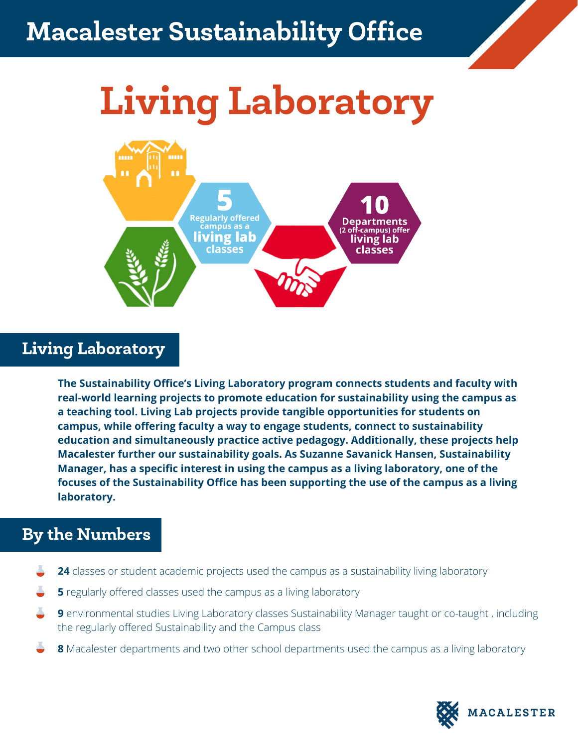### sicaret o*u*stanidhii Macalester Sustainability Office

# Living Laboratory



## Living Laboratory

**The Sustainability Office's Living Laboratory program connects students and faculty with real-world learning projects to promote education for sustainability using the campus as a teaching tool. Living Lab projects provide tangible opportunities for students on campus, while offering faculty a way to engage students, connect to sustainability education and simultaneously practice active pedagogy. Additionally, these projects help Macalester further our sustainability goals. As Suzanne Savanick Hansen, Sustainability Manager, has a specific interest in using the campus as a living laboratory, one of the focuses of the Sustainability Office has been supporting the use of the campus as a living laboratory.**

#### By the Numbers

- **24** classes or student academic projects used the campus as a sustainability living laboratory
- **5** regularly offered classes used the campus as a living laboratory
- **9** environmental studies Living Laboratory classes Sustainability Manager taught or co-taught, including the regularly offered Sustainability and the Campus class
- **8** Macalester departments and two other school departments used the campus as a living laboratory